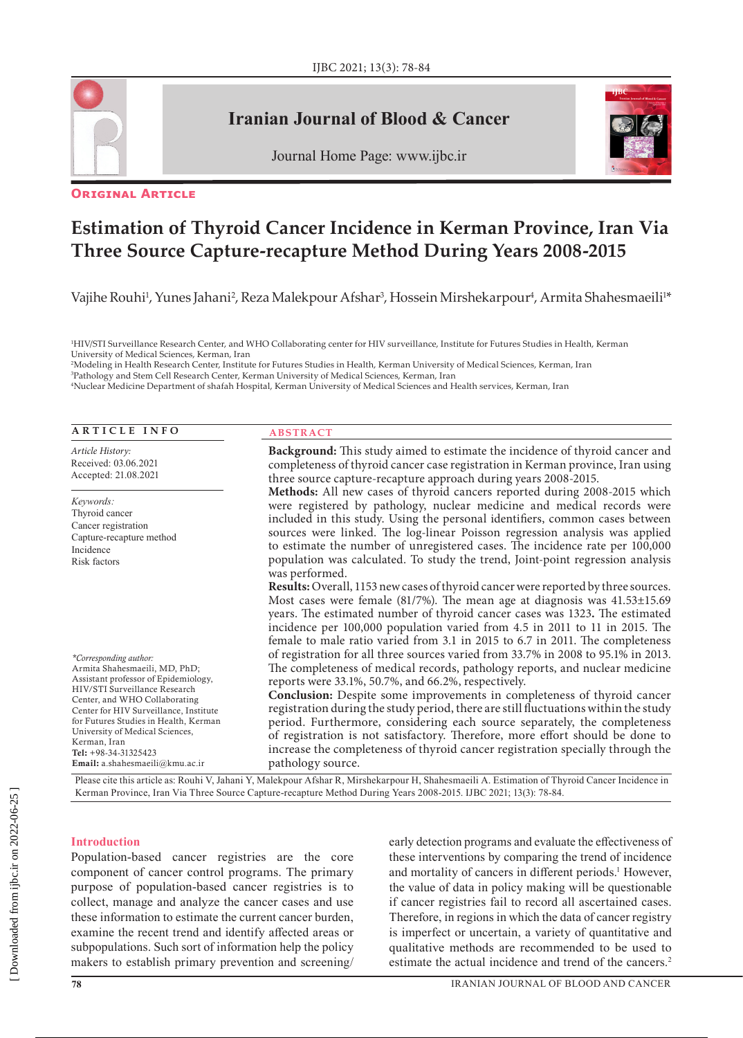

# **Iranian Journal of Blood & Cancer**





#### **Original Article**

# **Estimation of Thyroid Cancer Incidence in Kerman Province, Iran Via Three Source Capture-recapture Method During Years 2008-2015**

Vajihe Rouhi<sup>1</sup>, Yunes Jahani<sup>2</sup>, Reza Malekpour Afshar<sup>3</sup>, Hossein Mirshekarpour<sup>4</sup>, Armita Shahesmaeili<sup>1</sup>\*

1 HIV/STI Surveillance Research Center, and WHO Collaborating center for HIV surveillance, Institute for Futures Studies in Health, Kerman University of Medical Sciences, Kerman, Iran

2 Modeling in Health Research Center, Institute for Futures Studies in Health, Kerman University of Medical Sciences, Kerman, Iran

3 Pathology and Stem Cell Research Center, Kerman University of Medical Sciences, Kerman, Iran 4 Nuclear Medicine Department of shafah Hospital, Kerman University of Medical Sciences and Health services, Kerman, Iran

# **ARTICLE INFO**

*Article History:* Received: 03.06.2021 Accepted: 21.08.2021

*Keywords:* Thyroid cancer Cancer registration Capture-recapture method Incidence Risk factors

*\*Corresponding author:*

Armita Shahesmaeili, MD, PhD; Assistant professor of Epidemiology, HIV/STI Surveillance Research Center, and WHO Collaborating Center for HIV Surveillance, Institute for Futures Studies in Health, Kerman University of Medical Sciences, Kerman, Iran Tel: +98-34-31325423 Email: a.shahesmaeili@kmu.ac.ir

#### **ABSTRACT**

**Background:** This study aimed to estimate the incidence of thyroid cancer and completeness of thyroid cancer case registration in Kerman province, Iran using three source capture-recapture approach during years 2008-2015. **Methods:** All new cases of thyroid cancers reported during 2008-2015 which were registered by pathology, nuclear medicine and medical records were included in this study. Using the personal identifiers, common cases between sources were linked. The log-linear Poisson regression analysis was applied to estimate the number of unregistered cases. The incidence rate per 100,000 population was calculated. To study the trend, Joint-point regression analysis was performed. **Results:** Overall, 1153 new cases of thyroid cancer were reported by three sources. Most cases were female (81/7%). The mean age at diagnosis was 41.53±15.69 years. The estimated number of thyroid cancer cases was 1323**.** The estimated incidence per 100,000 population varied from 4.5 in 2011 to 11 in 2015. The female to male ratio varied from 3.1 in 2015 to 6.7 in 2011. The completeness of registration for all three sources varied from 33.7% in 2008 to 95.1% in 2013. The completeness of medical records, pathology reports, and nuclear medicine reports were 33.1%, 50.7%, and 66.2%, respectively. **Conclusion:** Despite some improvements in completeness of thyroid cancer

registration during the study period, there are still fluctuations within the study period. Furthermore, considering each source separately, the completeness of registration is not satisfactory. Therefore, more effort should be done to increase the completeness of thyroid cancer registration specially through the pathology source.

Please cite this article as: Rouhi V, Jahani Y, Malekpour Afshar R, Mirshekarpour H, Shahesmaeili A. Estimation of Thyroid Cancer Incidence in Kerman Province, Iran Via Three Source Capture-recapture Method During Years 2008-2015. IJBC 2021; 13(3): 78-84.

#### **Introduction**

Population-based cancer registries are the core component of cancer control programs. The primary purpose of population-based cancer registries is to collect, manage and analyze the cancer cases and use these information to estimate the current cancer burden, examine the recent trend and identify affected areas or subpopulations. Such sort of information help the policy makers to establish primary prevention and screening/ early detection programs and evaluate the effectiveness of these interventions by comparing the trend of incidence and mortality of cancers in different periods.<sup>1</sup> However, the value of data in policy making will be questionable if cancer registries fail to record all ascertained cases. Therefore, in regions in which the data of cancer registry is imperfect or uncertain, a variety of quantitative and qualitative methods are recommended to be used to estimate the actual incidence and trend of the cancers.<sup>2</sup>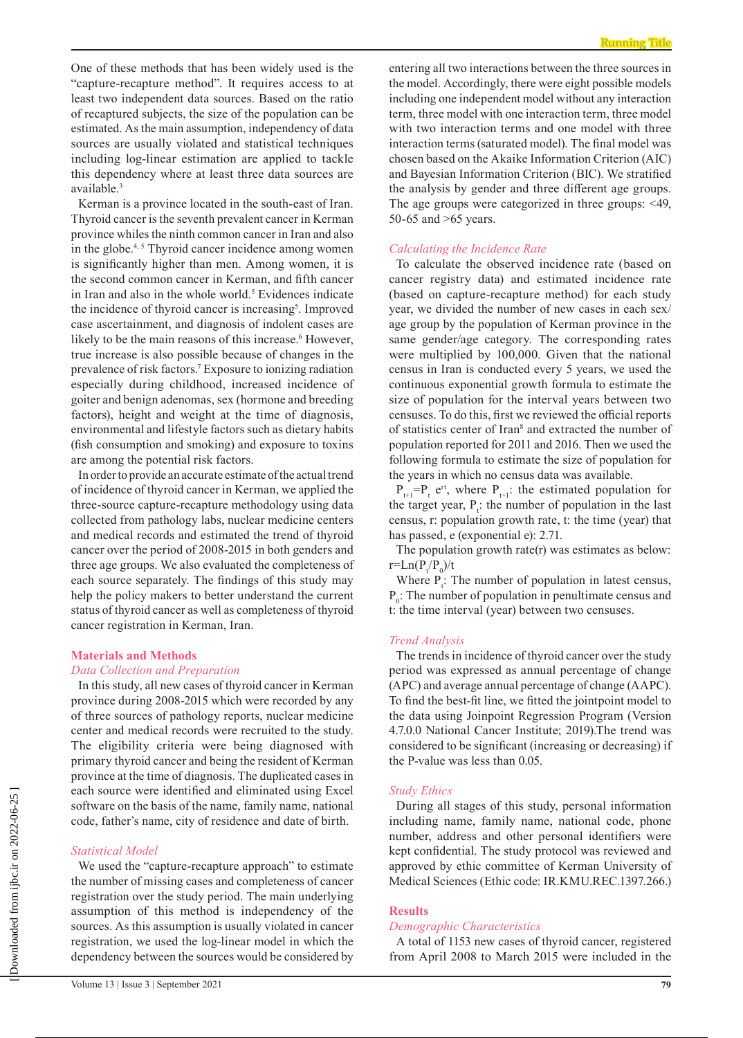One of these methods that has been widely used is the "capture-recapture method". It requires access to at least two independent data sources. Based on the ratio of recaptured subjects, the size of the population can be estimated. As the main assumption, independency of data sources are usually violated and statistical techniques including log-linear estimation are applied to tackle this dependency where at least three data sources are available.3

Kerman is a province located in the south-east of Iran. Thyroid cancer is the seventh prevalent cancer in Kerman province whiles the ninth common cancer in Iran and also in the globe. $4,5$  Thyroid cancer incidence among women is significantly higher than men. Among women, it is the second common cancer in Kerman, and fifth cancer in Iran and also in the whole world.<sup>5</sup> Evidences indicate the incidence of thyroid cancer is increasing<sup>5</sup>. Improved case ascertainment, and diagnosis of indolent cases are likely to be the main reasons of this increase.<sup>6</sup> However, true increase is also possible because of changes in the prevalence of risk factors.7 Exposure to ionizing radiation especially during childhood, increased incidence of goiter and benign adenomas, sex (hormone and breeding factors), height and weight at the time of diagnosis, environmental and lifestyle factors such as dietary habits (fish consumption and smoking) and exposure to toxins are among the potential risk factors.

In order to provide an accurate estimate of the actual trend of incidence of thyroid cancer in Kerman, we applied the three-source capture-recapture methodology using data collected from pathology labs, nuclear medicine centers and medical records and estimated the trend of thyroid cancer over the period of 2008-2015 in both genders and three age groups. We also evaluated the completeness of each source separately. The findings of this study may help the policy makers to better understand the current status of thyroid cancer as well as completeness of thyroid cancer registration in Kerman, Iran.

# **Materials and Methods**

#### *Data Collection and Preparation*

In this study, all new cases of thyroid cancer in Kerman province during 2008-2015 which were recorded by any of three sources of pathology reports, nuclear medicine center and medical records were recruited to the study. The eligibility criteria were being diagnosed with primary thyroid cancer and being the resident of Kerman province at the time of diagnosis. The duplicated cases in each source were identified and eliminated using Excel software on the basis of the name, family name, national code, father's name, city of residence and date of birth.

#### *Statistical Model*

We used the "capture-recapture approach" to estimate the number of missing cases and completeness of cancer registration over the study period. The main underlying assumption of this method is independency of the sources. As this assumption is usually violated in cancer registration, we used the log-linear model in which the dependency between the sources would be considered by entering all two interactions between the three sources in the model. Accordingly, there were eight possible models including one independent model without any interaction term, three model with one interaction term, three model with two interaction terms and one model with three interaction terms (saturated model). The final model was chosen based on the Akaike Information Criterion (AIC) and Bayesian Information Criterion (BIC). We stratified the analysis by gender and three different age groups. The age groups were categorized in three groups: <49, 50-65 and >65 years.

#### *Calculating the Incidence Rate*

To calculate the observed incidence rate (based on cancer registry data) and estimated incidence rate (based on capture-recapture method) for each study year, we divided the number of new cases in each sex/ age group by the population of Kerman province in the same gender/age category. The corresponding rates were multiplied by 100,000. Given that the national census in Iran is conducted every 5 years, we used the continuous exponential growth formula to estimate the size of population for the interval years between two censuses. To do this, first we reviewed the official reports of statistics center of Iran<sup>8</sup> and extracted the number of population reported for 2011 and 2016. Then we used the following formula to estimate the size of population for the years in which no census data was available.

 $P_{t+1} = P_t e^{rt}$ , where  $P_{t+1}$ : the estimated population for the target year,  $P_i$ : the number of population in the last census, r: population growth rate, t: the time (year) that has passed, e (exponential e): 2.71.

The population growth rate(r) was estimates as below:  $r = Ln(P_t/P_0)/t$ 

Where  $P_t$ : The number of population in latest census,  $P_0$ : The number of population in penultimate census and t: the time interval (year) between two censuses.

#### *Trend Analysis*

The trends in incidence of thyroid cancer over the study period was expressed as annual percentage of change (APC) and average annual percentage of change (AAPC). To find the best-fit line, we fitted the jointpoint model to the data using Joinpoint Regression Program ([Version](https://surveillance.cancer.gov/joinpoint/download.html) [4.7.0.0](https://surveillance.cancer.gov/joinpoint/download.html) National Cancer Institute; 2019).The trend was considered to be significant (increasing or decreasing) if the P-value was less than 0.05.

#### *Study Ethics*

During all stages of this study, personal information including name, family name, national code, phone number, address and other personal identifiers were kept confidential. The study protocol was reviewed and approved by ethic committee of Kerman University of Medical Sciences (Ethic code: IR.KMU.REC.1397.266.)

#### **Results**

#### *Demographic Characteristics*

A total of 1153 new cases of thyroid cancer, registered from April 2008 to March 2015 were included in the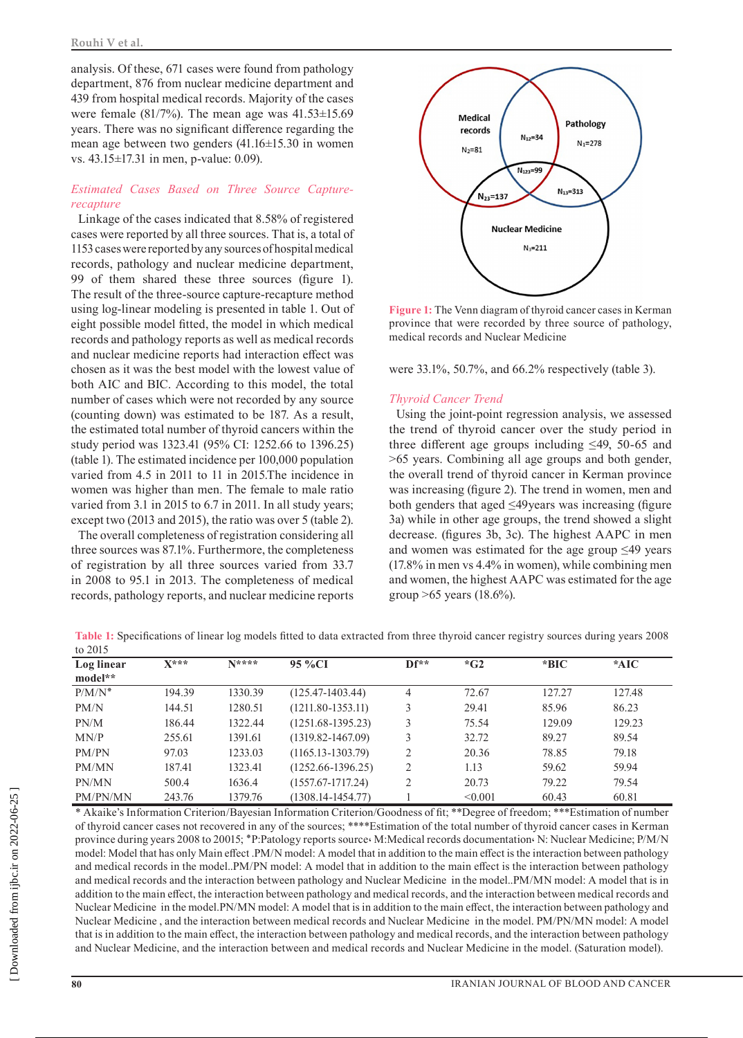analysis. Of these, 671 cases were found from pathology department, 876 from nuclear medicine department and 439 from hospital medical records. Majority of the cases were female (81/7%). The mean age was 41.53±15.69 years. There was no significant difference regarding the mean age between two genders (41.16±15.30 in women vs. 43.15±17.31 in men, p-value: 0.09).

# *Estimated Cases Based on Three Source Capturerecapture*

Linkage of the cases indicated that 8.58% of registered cases were reported by all three sources. That is, a total of 1153 cases were reported by any sources of hospital medical records, pathology and nuclear medicine department, 99 of them shared these three sources (figure 1). The result of the three-source capture-recapture method using log-linear modeling is presented in table 1. Out of eight possible model fitted, the model in which medical records and pathology reports as well as medical records and nuclear medicine reports had interaction effect was chosen as it was the best model with the lowest value of both AIC and BIC. According to this model, the total number of cases which were not recorded by any source (counting down) was estimated to be 187. As a result, the estimated total number of thyroid cancers within the study period was 1323.41 (95% CI: 1252.66 to 1396.25) (table 1). The estimated incidence per 100,000 population varied from 4.5 in 2011 to 11 in 2015.The incidence in women was higher than men. The female to male ratio varied from 3.1 in 2015 to 6.7 in 2011. In all study years; except two (2013 and 2015), the ratio was over 5 (table 2).

The overall completeness of registration considering all three sources was 87.1%. Furthermore, the completeness of registration by all three sources varied from 33.7 in 2008 to 95.1 in 2013. The completeness of medical records, pathology reports, and nuclear medicine reports



**Figure 1:** The Venn diagram of thyroid cancer cases in Kerman province that were recorded by three source of pathology, medical records and Nuclear Medicine

were 33.1%, 50.7%, and 66.2% respectively (table 3).

### *Thyroid Cancer Trend*

Using the joint-point regression analysis, we assessed the trend of thyroid cancer over the study period in three different age groups including ≤49, 50-65 and >65 years. Combining all age groups and both gender, the overall trend of thyroid cancer in Kerman province was increasing (figure 2). The trend in women, men and both genders that aged ≤49years was increasing (figure 3a) while in other age groups, the trend showed a slight decrease. (figures 3b, 3c). The highest AAPC in men and women was estimated for the age group  $\leq 49$  years (17.8% in men vs 4.4% in women), while combining men and women, the highest AAPC was estimated for the age group >65 years (18.6%).

| Log linear<br>model** | $X***$ | $N$ **** | 95 %CI                | $Df^*$ | $*$ G2  | $*BIC$ | $*AIC$ |  |
|-----------------------|--------|----------|-----------------------|--------|---------|--------|--------|--|
|                       |        |          |                       |        |         |        |        |  |
| $P/M/N^*$             | 194.39 | 1330.39  | $(125.47 - 1403.44)$  | 4      | 72.67   | 127.27 | 127.48 |  |
| PM/N                  | 144.51 | 1280.51  | $(1211.80 - 1353.11)$ | 3      | 29.41   | 85.96  | 86.23  |  |
| PN/M                  | 186.44 | 1322.44  | $(1251.68 - 1395.23)$ | 3      | 75.54   | 129.09 | 129.23 |  |
| MN/P                  | 255.61 | 1391.61  | $(1319.82 - 1467.09)$ | 3      | 32.72   | 89.27  | 89.54  |  |
| PM/PN                 | 97.03  | 1233.03  | $(1165.13 - 1303.79)$ | 2      | 20.36   | 78.85  | 79.18  |  |
| PM/MN                 | 187.41 | 1323.41  | $(1252.66 - 1396.25)$ | 2      | 1.13    | 59.62  | 59.94  |  |
| PN/MN                 | 500.4  | 1636.4   | $(1557.67 - 1717.24)$ | 2      | 20.73   | 79.22  | 79.54  |  |
| PM/PN/MN              | 243.76 | 1379.76  | $(1308.14 - 1454.77)$ |        | < 0.001 | 60.43  | 60.81  |  |

**Table 1:** Specifications of linear log models fitted to data extracted from three thyroid cancer registry sources during years 2008 to 2015

\* Akaike's Information Criterion/Bayesian Information Criterion/Goodness of fit; \*\*Degree of freedom; \*\*\*Estimation of number of thyroid cancer cases not recovered in any of the sources; \*\*\*\*Estimation of the total number of thyroid cancer cases in Kerman province during years 2008 to 20015; \*P:Patology reports source M:Medical records documentation W: Nuclear Medicine; P/M/N model: Model that has only Main effect .PM/N model: A model that in addition to the main effect is the interaction between pathology and medical records in the model..PM/PN model: A model that in addition to the main effect is the interaction between pathology and medical records and the interaction between pathology and Nuclear Medicine in the model..PM/MN model: A model that is in addition to the main effect, the interaction between pathology and medical records, and the interaction between medical records and Nuclear Medicine in the model.PN/MN model: A model that is in addition to the main effect, the interaction between pathology and Nuclear Medicine , and the interaction between medical records and Nuclear Medicine in the model. PM/PN/MN model: A model that is in addition to the main effect, the interaction between pathology and medical records, and the interaction between pathology and Nuclear Medicine, and the interaction between and medical records and Nuclear Medicine in the model. (Saturation model).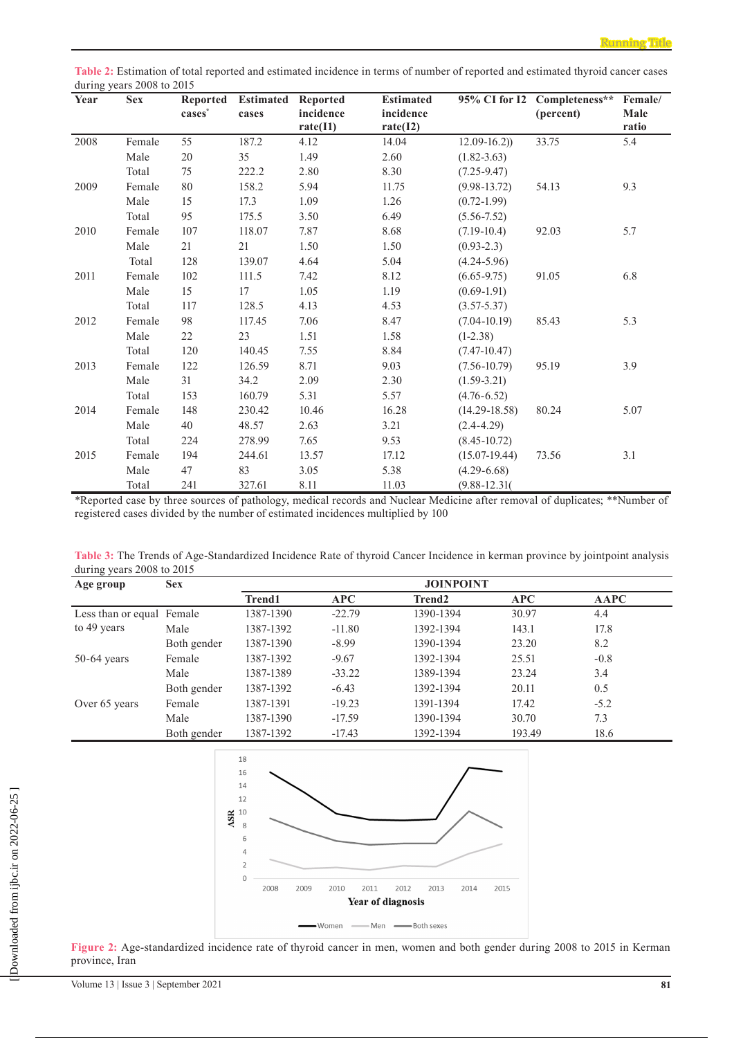**Table 2:** Estimation of total reported and estimated incidence in terms of number of reported and estimated thyroid cancer cases during years 2008 to 2015

| Year | <b>Sex</b> | <b>Reported</b><br>$cases^*$ | <b>Estimated</b><br>cases | <b>Reported</b><br>incidence<br>rate(I1) | <b>Estimated</b><br>incidence<br>rate(I2) |                   | 95% CI for I2 Completeness**<br>(percent) | Female/<br>Male<br>ratio |
|------|------------|------------------------------|---------------------------|------------------------------------------|-------------------------------------------|-------------------|-------------------------------------------|--------------------------|
| 2008 | Female     | 55                           | 187.2                     | 4.12                                     | 14.04                                     | $12.09 - 16.2)$   | 33.75                                     | 5.4                      |
|      | Male       | 20                           | 35                        | 1.49                                     | 2.60                                      | $(1.82 - 3.63)$   |                                           |                          |
|      | Total      | 75                           | 222.2                     | 2.80                                     | 8.30                                      | $(7.25 - 9.47)$   |                                           |                          |
| 2009 | Female     | 80                           | 158.2                     | 5.94                                     | 11.75                                     | $(9.98 - 13.72)$  | 54.13                                     | 9.3                      |
|      | Male       | 15                           | 17.3                      | 1.09                                     | 1.26                                      | $(0.72 - 1.99)$   |                                           |                          |
|      | Total      | 95                           | 175.5                     | 3.50                                     | 6.49                                      | $(5.56 - 7.52)$   |                                           |                          |
| 2010 | Female     | 107                          | 118.07                    | 7.87                                     | 8.68                                      | $(7.19-10.4)$     | 92.03                                     | 5.7                      |
|      | Male       | 21                           | 21                        | 1.50                                     | 1.50                                      | $(0.93 - 2.3)$    |                                           |                          |
|      | Total      | 128                          | 139.07                    | 4.64                                     | 5.04                                      | $(4.24 - 5.96)$   |                                           |                          |
| 2011 | Female     | 102                          | 111.5                     | 7.42                                     | 8.12                                      | $(6.65 - 9.75)$   | 91.05                                     | 6.8                      |
|      | Male       | 15                           | 17                        | 1.05                                     | 1.19                                      | $(0.69-1.91)$     |                                           |                          |
|      | Total      | 117                          | 128.5                     | 4.13                                     | 4.53                                      | $(3.57 - 5.37)$   |                                           |                          |
| 2012 | Female     | 98                           | 117.45                    | 7.06                                     | 8.47                                      | $(7.04 - 10.19)$  | 85.43                                     | 5.3                      |
|      | Male       | 22                           | 23                        | 1.51                                     | 1.58                                      | $(1-2.38)$        |                                           |                          |
|      | Total      | 120                          | 140.45                    | 7.55                                     | 8.84                                      | $(7.47 - 10.47)$  |                                           |                          |
| 2013 | Female     | 122                          | 126.59                    | 8.71                                     | 9.03                                      | $(7.56 - 10.79)$  | 95.19                                     | 3.9                      |
|      | Male       | 31                           | 34.2                      | 2.09                                     | 2.30                                      | $(1.59 - 3.21)$   |                                           |                          |
|      | Total      | 153                          | 160.79                    | 5.31                                     | 5.57                                      | $(4.76 - 6.52)$   |                                           |                          |
| 2014 | Female     | 148                          | 230.42                    | 10.46                                    | 16.28                                     | $(14.29 - 18.58)$ | 80.24                                     | 5.07                     |
|      | Male       | 40                           | 48.57                     | 2.63                                     | 3.21                                      | $(2.4 - 4.29)$    |                                           |                          |
|      | Total      | 224                          | 278.99                    | 7.65                                     | 9.53                                      | $(8.45 - 10.72)$  |                                           |                          |
| 2015 | Female     | 194                          | 244.61                    | 13.57                                    | 17.12                                     | $(15.07-19.44)$   | 73.56                                     | 3.1                      |
|      | Male       | 47                           | 83                        | 3.05                                     | 5.38                                      | $(4.29 - 6.68)$   |                                           |                          |
|      | Total      | 241                          | 327.61                    | 8.11                                     | 11.03                                     | $(9.88 - 12.31)$  |                                           |                          |

\*Reported case by three sources of pathology, medical records and Nuclear Medicine after removal of duplicates; \*\*Number of registered cases divided by the number of estimated incidences multiplied by 100

**Table 3:** The Trends of Age-Standardized Incidence Rate of thyroid Cancer Incidence in kerman province by jointpoint analysis during years 2008 to 2015

| Age group                 | <b>Sex</b>  | <b>JOINPOINT</b> |            |                    |        |             |  |  |
|---------------------------|-------------|------------------|------------|--------------------|--------|-------------|--|--|
|                           |             | <b>Trend1</b>    | <b>APC</b> | Trend <sub>2</sub> | APC    | <b>AAPC</b> |  |  |
| Less than or equal Female |             | 1387-1390        | $-22.79$   | 1390-1394          | 30.97  | 4.4         |  |  |
| to 49 years               | Male        | 1387-1392        | $-11.80$   | 1392-1394          | 143.1  | 17.8        |  |  |
|                           | Both gender | 1387-1390        | $-8.99$    | 1390-1394          | 23.20  | 8.2         |  |  |
| $50-64$ years             | Female      | 1387-1392        | $-9.67$    | 1392-1394          | 25.51  | $-0.8$      |  |  |
|                           | Male        | 1387-1389        | $-33.22$   | 1389-1394          | 23.24  | 3.4         |  |  |
|                           | Both gender | 1387-1392        | $-6.43$    | 1392-1394          | 20.11  | 0.5         |  |  |
| Over 65 years             | Female      | 1387-1391        | $-19.23$   | 1391-1394          | 17.42  | $-5.2$      |  |  |
|                           | Male        | 1387-1390        | $-17.59$   | 1390-1394          | 30.70  | 7.3         |  |  |
|                           | Both gender | 1387-1392        | $-17.43$   | 1392-1394          | 193.49 | 18.6        |  |  |



**Figure 2:** Age-standardized incidence rate of thyroid cancer in men, women and both gender during 2008 to 2015 in Kerman province, Iran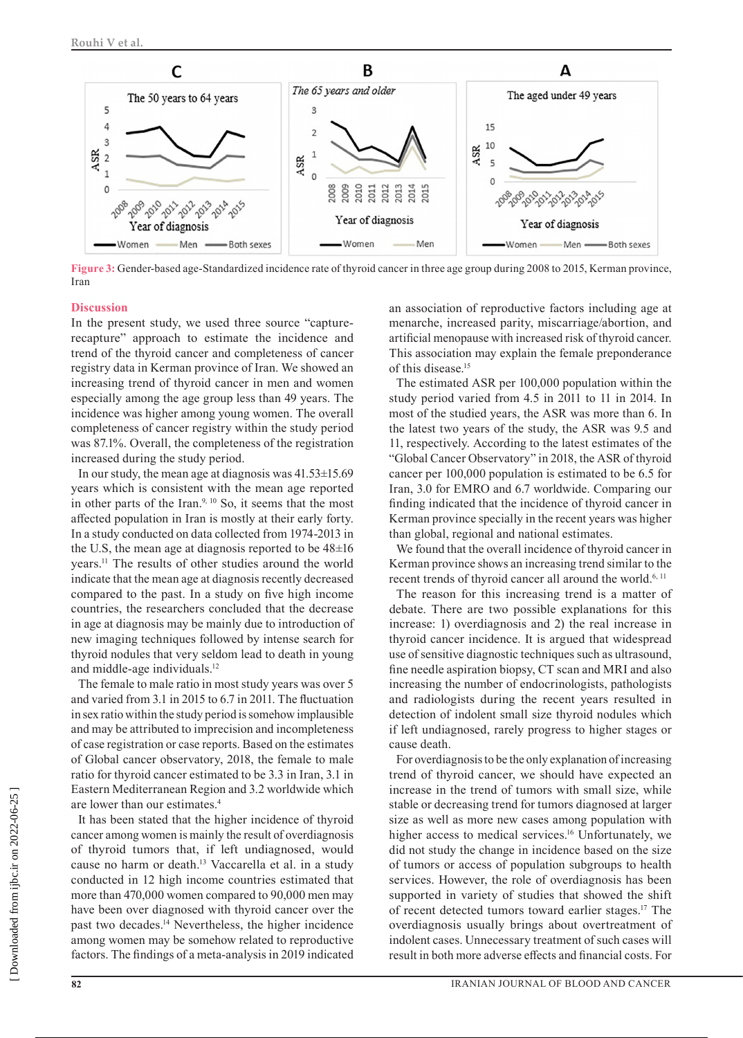

**Figure 3:** Gender-based age-Standardized incidence rate of thyroid cancer in three age group during 2008 to 2015, Kerman province, Iran

#### **Discussion**

In the present study, we used three source "capturerecapture" approach to estimate the incidence and trend of the thyroid cancer and completeness of cancer registry data in Kerman province of Iran. We showed an increasing trend of thyroid cancer in men and women especially among the age group less than 49 years. The incidence was higher among young women. The overall completeness of cancer registry within the study period was 87.1%. Overall, the completeness of the registration increased during the study period.

In our study, the mean age at diagnosis was 41.53±15.69 years which is consistent with the mean age reported in other parts of the Iran. $9, 10$  So, it seems that the most affected population in Iran is mostly at their early forty. In a study conducted on data collected from 1974-2013 in the U.S, the mean age at diagnosis reported to be 48±16 years.11 The results of other studies around the world indicate that the mean age at diagnosis recently decreased compared to the past. In a study on five high income countries, the researchers concluded that the decrease in age at diagnosis may be mainly due to introduction of new imaging techniques followed by intense search for thyroid nodules that very seldom lead to death in young and middle-age individuals.12

The female to male ratio in most study years was over 5 and varied from 3.1 in 2015 to 6.7 in 2011. The fluctuation in sex ratio within the study period is somehow implausible and may be attributed to imprecision and incompleteness of case registration or case reports. Based on the estimates of Global cancer observatory, 2018, the female to male ratio for thyroid cancer estimated to be 3.3 in Iran, 3.1 in Eastern Mediterranean Region and 3.2 worldwide which are lower than our estimates.4

It has been stated that the higher incidence of thyroid cancer among women is mainly the result of overdiagnosis of thyroid tumors that, if left undiagnosed, would cause no harm or death.13 Vaccarella et al. in a study conducted in 12 high income countries estimated that more than 470,000 women compared to 90,000 men may have been over diagnosed with thyroid cancer over the past two decades.14 Nevertheless, the higher incidence among women may be somehow related to reproductive factors. The findings of a meta-analysis in 2019 indicated an association of reproductive factors including age at menarche, increased parity, miscarriage/abortion, and artificial menopause with increased risk of thyroid cancer. This association may explain the female preponderance of this disease.<sup>15</sup>

The estimated ASR per 100,000 population within the study period varied from 4.5 in 2011 to 11 in 2014. In most of the studied years, the ASR was more than 6. In the latest two years of the study, the ASR was 9.5 and 11, respectively. According to the latest estimates of the "Global Cancer Observatory" in 2018, the ASR of thyroid cancer per 100,000 population is estimated to be 6.5 for Iran, 3.0 for EMRO and 6.7 worldwide. Comparing our finding indicated that the incidence of thyroid cancer in Kerman province specially in the recent years was higher than global, regional and national estimates.

We found that the overall incidence of thyroid cancer in Kerman province shows an increasing trend similar to the recent trends of thyroid cancer all around the world.<sup>6, 11</sup>

The reason for this increasing trend is a matter of debate. There are two possible explanations for this increase: 1) overdiagnosis and 2) the real increase in thyroid cancer incidence. It is argued that widespread use of sensitive diagnostic techniques such as ultrasound, fine needle aspiration biopsy, CT scan and MRI and also increasing the number of endocrinologists, pathologists and radiologists during the recent years resulted in detection of indolent small size thyroid nodules which if left undiagnosed, rarely progress to higher stages or cause death.

For overdiagnosis to be the only explanation of increasing trend of thyroid cancer, we should have expected an increase in the trend of tumors with small size, while stable or decreasing trend for tumors diagnosed at larger size as well as more new cases among population with higher access to medical services.<sup>16</sup> Unfortunately, we did not study the change in incidence based on the size of tumors or access of population subgroups to health services. However, the role of overdiagnosis has been supported in variety of studies that showed the shift of recent detected tumors toward earlier stages.17 The overdiagnosis usually brings about overtreatment of indolent cases. Unnecessary treatment of such cases will result in both more adverse effects and financial costs. For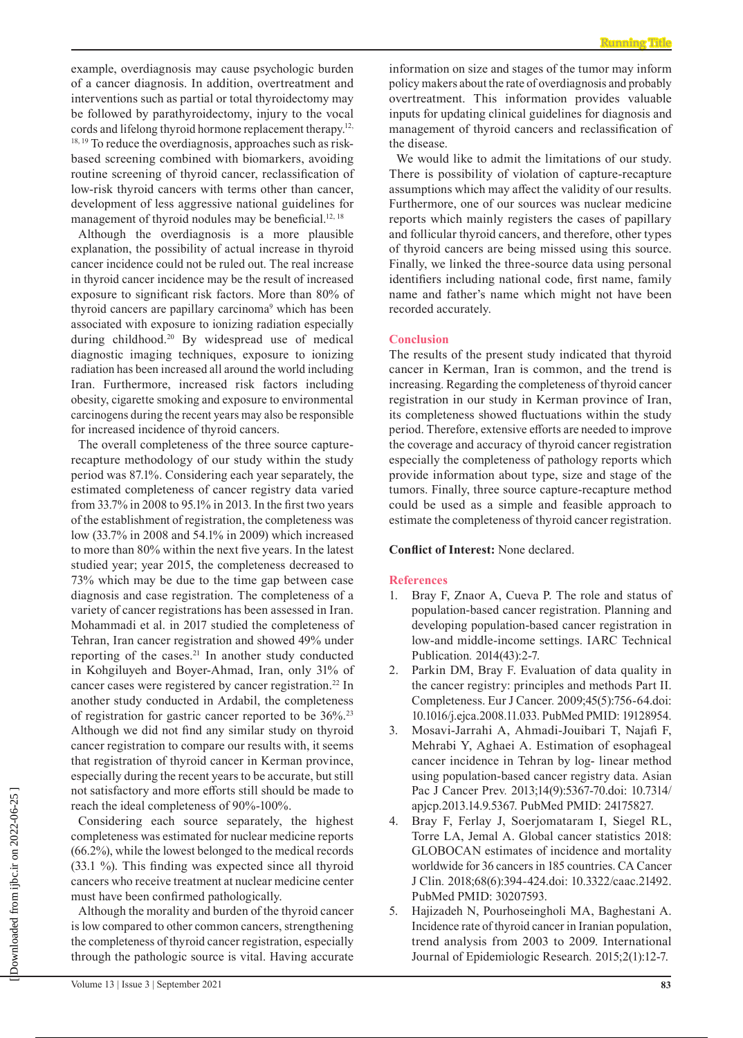example, overdiagnosis may cause psychologic burden of a cancer diagnosis. In addition, overtreatment and interventions such as partial or total thyroidectomy may be followed by parathyroidectomy, injury to the vocal cords and lifelong thyroid hormone replacement therapy.<sup>12,</sup> <sup>18, 19</sup> To reduce the overdiagnosis, approaches such as riskbased screening combined with biomarkers, avoiding routine screening of thyroid cancer, reclassification of low-risk thyroid cancers with terms other than cancer, development of less aggressive national guidelines for management of thyroid nodules may be beneficial.<sup>12, 18</sup>

Although the overdiagnosis is a more plausible explanation, the possibility of actual increase in thyroid cancer incidence could not be ruled out. The real increase in thyroid cancer incidence may be the result of increased exposure to significant risk factors. More than 80% of thyroid cancers are papillary carcinoma<sup>9</sup> which has been associated with exposure to ionizing radiation especially during childhood.<sup>20</sup> By widespread use of medical diagnostic imaging techniques, exposure to ionizing radiation has been increased all around the world including Iran. Furthermore, increased risk factors including obesity, cigarette smoking and exposure to environmental carcinogens during the recent years may also be responsible for increased incidence of thyroid cancers.

The overall completeness of the three source capturerecapture methodology of our study within the study period was 87.1%. Considering each year separately, the estimated completeness of cancer registry data varied from 33.7% in 2008 to 95.1% in 2013. In the first two years of the establishment of registration, the completeness was low (33.7% in 2008 and 54.1% in 2009) which increased to more than 80% within the next five years. In the latest studied year; year 2015, the completeness decreased to 73% which may be due to the time gap between case diagnosis and case registration. The completeness of a variety of cancer registrations has been assessed in Iran. Mohammadi et al. in 2017 studied the completeness of Tehran, Iran cancer registration and showed 49% under reporting of the cases.<sup>21</sup> In another study conducted in Kohgiluyeh and Boyer-Ahmad, Iran, only 31% of cancer cases were registered by cancer registration.<sup>22</sup> In another study conducted in Ardabil, the completeness of registration for gastric cancer reported to be 36%.23 Although we did not find any similar study on thyroid cancer registration to compare our results with, it seems that registration of thyroid cancer in Kerman province, especially during the recent years to be accurate, but still not satisfactory and more efforts still should be made to reach the ideal completeness of 90%-100%.

Considering each source separately, the highest completeness was estimated for nuclear medicine reports (66.2%), while the lowest belonged to the medical records (33.1 %). This finding was expected since all thyroid cancers who receive treatment at nuclear medicine center must have been confirmed pathologically.

Although the morality and burden of the thyroid cancer is low compared to other common cancers, strengthening the completeness of thyroid cancer registration, especially through the pathologic source is vital. Having accurate

We would like to admit the limitations of our study. There is possibility of violation of capture-recapture assumptions which may affect the validity of our results. Furthermore, one of our sources was nuclear medicine reports which mainly registers the cases of papillary and follicular thyroid cancers, and therefore, other types of thyroid cancers are being missed using this source. Finally, we linked the three-source data using personal identifiers including national code, first name, family name and father's name which might not have been recorded accurately.

#### **Conclusion**

The results of the present study indicated that thyroid cancer in Kerman, Iran is common, and the trend is increasing. Regarding the completeness of thyroid cancer registration in our study in Kerman province of Iran, its completeness showed fluctuations within the study period. Therefore, extensive efforts are needed to improve the coverage and accuracy of thyroid cancer registration especially the completeness of pathology reports which provide information about type, size and stage of the tumors. Finally, three source capture-recapture method could be used as a simple and feasible approach to estimate the completeness of thyroid cancer registration.

# **Conflict of Interest:** None declared.

#### **References**

- 1. Bray F, Znaor A, Cueva P. The role and status of population-based cancer registration. Planning and developing population-based cancer registration in low-and middle-income settings. IARC Technical Publication*.* 2014(43):2-7.
- 2. Parkin DM, Bray F. Evaluation of data quality in the cancer registry: principles and methods Part II. Completeness. Eur J Cancer*.* 2009;45(5):756-64.doi: 10.1016/j.ejca.2008.11.033. PubMed PMID: 19128954.
- 3. Mosavi-Jarrahi A, Ahmadi-Jouibari T, Najafi F, Mehrabi Y, Aghaei A. Estimation of esophageal cancer incidence in Tehran by log- linear method using population-based cancer registry data. Asian Pac J Cancer Prev*.* 2013;14(9):5367-70.doi: 10.7314/ apjcp.2013.14.9.5367. PubMed PMID: 24175827.
- 4. Bray F, Ferlay J, Soerjomataram I, Siegel RL, Torre LA, Jemal A. Global cancer statistics 2018: GLOBOCAN estimates of incidence and mortality worldwide for 36 cancers in 185 countries. CA Cancer J Clin*.* 2018;68(6):394-424.doi: 10.3322/caac.21492. PubMed PMID: 30207593.
- 5. Hajizadeh N, Pourhoseingholi MA, Baghestani A. Incidence rate of thyroid cancer in Iranian population, trend analysis from 2003 to 2009. International Journal of Epidemiologic Research*.* 2015;2(1):12-7.